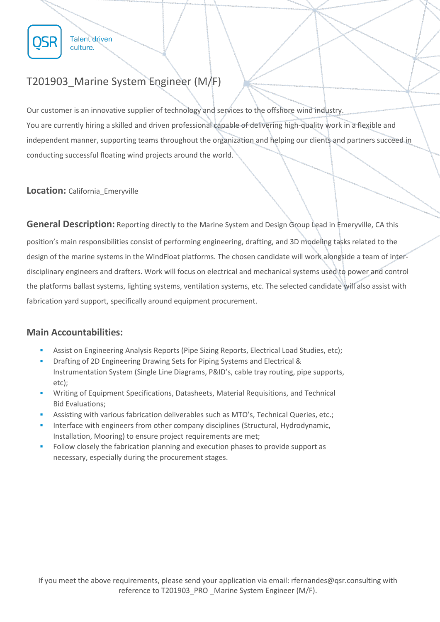

**Talent driven** culture.

## T201903\_Marine System Engineer (M/F)

Our customer is an innovative supplier of technology and services to the offshore wind industry. You are currently hiring a skilled and driven professional capable of delivering high-quality work in a flexible and independent manner, supporting teams throughout the organization and helping our clients and partners succeed in conducting successful floating wind projects around the world.

**Location:** California Emeryville

**General Description:** Reporting directly to the Marine System and Design Group Lead in Emeryville, CA this position's main responsibilities consist of performing engineering, drafting, and 3D modeling tasks related to the design of the marine systems in the WindFloat platforms. The chosen candidate will work alongside a team of interdisciplinary engineers and drafters. Work will focus on electrical and mechanical systems used to power and control the platforms ballast systems, lighting systems, ventilation systems, etc. The selected candidate will also assist with fabrication yard support, specifically around equipment procurement.

## **Main Accountabilities:**

- Assist on Engineering Analysis Reports (Pipe Sizing Reports, Electrical Load Studies, etc);
- Drafting of 2D Engineering Drawing Sets for Piping Systems and Electrical & Instrumentation System (Single Line Diagrams, P&ID's, cable tray routing, pipe supports, etc);
- Writing of Equipment Specifications, Datasheets, Material Requisitions, and Technical Bid Evaluations;
- Assisting with various fabrication deliverables such as MTO's, Technical Queries, etc.;
- Interface with engineers from other company disciplines (Structural, Hydrodynamic, Installation, Mooring) to ensure project requirements are met;
- Follow closely the fabrication planning and execution phases to provide support as necessary, especially during the procurement stages.